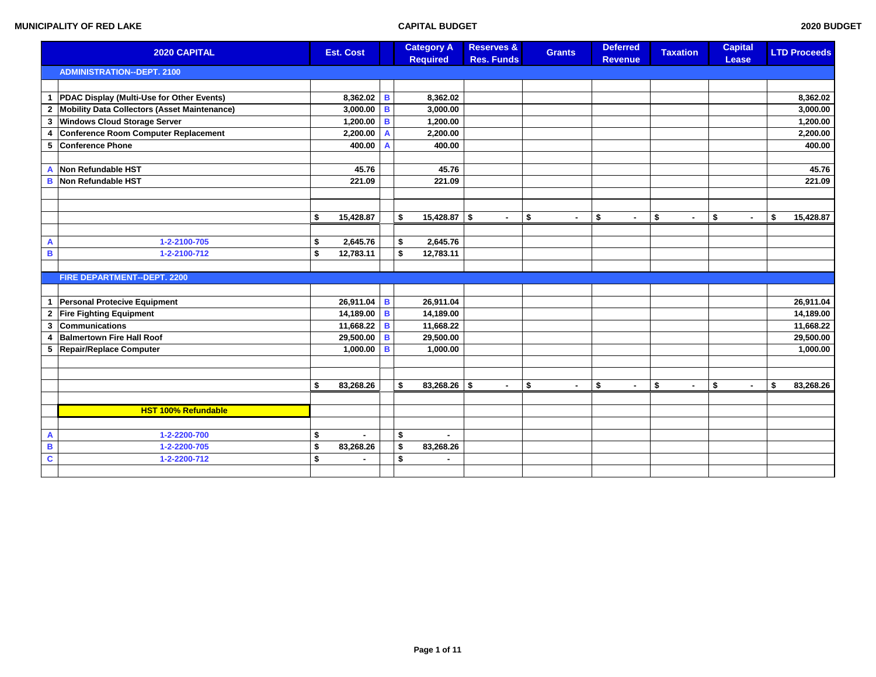| 2020 CAPITAL            |                                              | <b>Est. Cost</b>     |                | <b>Category A</b><br><b>Required</b> | <b>Reserves &amp;</b><br><b>Res. Funds</b> | <b>Grants</b>        | <b>Deferred</b><br><b>Revenue</b> | <b>Taxation</b>      | <b>Capital</b><br>Lease | <b>LTD Proceeds</b> |
|-------------------------|----------------------------------------------|----------------------|----------------|--------------------------------------|--------------------------------------------|----------------------|-----------------------------------|----------------------|-------------------------|---------------------|
|                         | <b>ADMINISTRATION--DEPT. 2100</b>            |                      |                |                                      |                                            |                      |                                   |                      |                         |                     |
|                         |                                              |                      |                |                                      |                                            |                      |                                   |                      |                         |                     |
| $\mathbf{1}$            | PDAC Display (Multi-Use for Other Events)    | 8,362.02 B           |                | 8,362.02                             |                                            |                      |                                   |                      |                         | 8,362.02            |
| $\mathbf{2}$            | Mobility Data Collectors (Asset Maintenance) | $3,000.00$ B         |                | 3,000.00                             |                                            |                      |                                   |                      |                         | 3,000.00            |
| 3                       | <b>Windows Cloud Storage Server</b>          | 1,200.00 B           |                | 1.200.00                             |                                            |                      |                                   |                      |                         | 1,200.00            |
| 4                       | <b>Conference Room Computer Replacement</b>  | 2,200.00             | $\overline{A}$ | 2,200.00                             |                                            |                      |                                   |                      |                         | 2,200.00            |
| 5                       | Conference Phone                             | 400.00               | $\overline{A}$ | 400.00                               |                                            |                      |                                   |                      |                         | 400.00              |
|                         |                                              |                      |                |                                      |                                            |                      |                                   |                      |                         |                     |
| A                       | Non Refundable HST                           | 45.76                |                | 45.76                                |                                            |                      |                                   |                      |                         | 45.76               |
| B                       | Non Refundable HST                           | 221.09               |                | 221.09                               |                                            |                      |                                   |                      |                         | 221.09              |
|                         |                                              |                      |                |                                      |                                            |                      |                                   |                      |                         |                     |
|                         |                                              |                      |                |                                      |                                            |                      |                                   |                      |                         |                     |
|                         |                                              | \$<br>15,428.87      |                | \$<br>$15,428.87$ \$                 | $\sim$                                     | \$<br>$\sim$         | \$<br>$\sim$                      | \$<br>$\sim$         | \$<br>$\sim$            | \$<br>15,428.87     |
|                         |                                              |                      |                |                                      |                                            |                      |                                   |                      |                         |                     |
| A                       | 1-2-2100-705                                 | \$<br>2,645.76       |                | \$<br>2,645.76                       |                                            |                      |                                   |                      |                         |                     |
| в                       | 1-2-2100-712                                 | \$<br>12,783.11      |                | \$<br>12,783.11                      |                                            |                      |                                   |                      |                         |                     |
|                         |                                              |                      |                |                                      |                                            |                      |                                   |                      |                         |                     |
|                         | <b>FIRE DEPARTMENT--DEPT. 2200</b>           |                      |                |                                      |                                            |                      |                                   |                      |                         |                     |
|                         |                                              |                      |                |                                      |                                            |                      |                                   |                      |                         |                     |
|                         | 1 Personal Protecive Equipment               | $26,911.04$ B        |                | 26,911.04                            |                                            |                      |                                   |                      |                         | 26,911.04           |
| $\mathbf{2}$            | <b>Fire Fighting Equipment</b>               | 14,189.00 B          |                | 14,189.00                            |                                            |                      |                                   |                      |                         | 14,189.00           |
| 3                       | Communications                               | 11,668.22 B          |                | 11,668.22                            |                                            |                      |                                   |                      |                         | 11,668.22           |
| $\overline{4}$          | <b>Balmertown Fire Hall Roof</b>             | 29,500.00   B        |                | 29,500.00                            |                                            |                      |                                   |                      |                         | 29,500.00           |
| 5                       | Repair/Replace Computer                      | 1,000.00   B         |                | 1,000.00                             |                                            |                      |                                   |                      |                         | 1,000.00            |
|                         |                                              |                      |                |                                      |                                            |                      |                                   |                      |                         |                     |
|                         |                                              |                      |                |                                      |                                            |                      |                                   |                      |                         |                     |
|                         |                                              | \$<br>83,268.26      |                | \$<br>$83,268.26$ \$                 | $\sim$                                     | \$<br>$\blacksquare$ | \$<br>$\sim$                      | \$<br>$\blacksquare$ | \$<br>$\blacksquare$    | \$<br>83,268.26     |
|                         |                                              |                      |                |                                      |                                            |                      |                                   |                      |                         |                     |
|                         | <b>HST 100% Refundable</b>                   |                      |                |                                      |                                            |                      |                                   |                      |                         |                     |
|                         |                                              |                      |                |                                      |                                            |                      |                                   |                      |                         |                     |
| A                       | 1-2-2200-700                                 | \$<br>$\blacksquare$ |                | \$                                   |                                            |                      |                                   |                      |                         |                     |
| B                       | 1-2-2200-705                                 | \$<br>83,268.26      |                | \$<br>83,268.26                      |                                            |                      |                                   |                      |                         |                     |
| $\overline{\mathbf{c}}$ | 1-2-2200-712                                 | \$<br>$\blacksquare$ |                | \$                                   |                                            |                      |                                   |                      |                         |                     |
|                         |                                              |                      |                |                                      |                                            |                      |                                   |                      |                         |                     |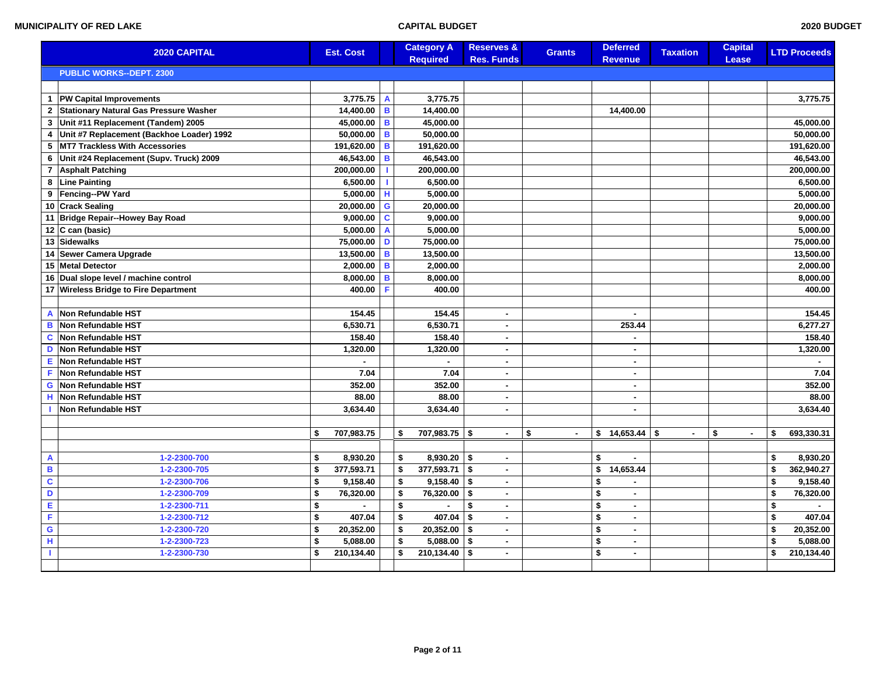|                | <b>2020 CAPITAL</b>                       | <b>Est. Cost</b> |                | <b>Category A</b><br><b>Required</b> | <b>Reserves &amp;</b><br><b>Res. Funds</b> | <b>Grants</b>        | <b>Deferred</b><br><b>Revenue</b> | <b>Taxation</b> | <b>Capital</b><br>Lease | <b>LTD Proceeds</b> |
|----------------|-------------------------------------------|------------------|----------------|--------------------------------------|--------------------------------------------|----------------------|-----------------------------------|-----------------|-------------------------|---------------------|
|                | <b>PUBLIC WORKS--DEPT. 2300</b>           |                  |                |                                      |                                            |                      |                                   |                 |                         |                     |
|                |                                           |                  |                |                                      |                                            |                      |                                   |                 |                         |                     |
| $\mathbf{1}$   | <b>PW Capital Improvements</b>            | 3,775.75         | $\overline{A}$ | 3,775.75                             |                                            |                      |                                   |                 |                         | 3,775.75            |
|                | 2 Stationary Natural Gas Pressure Washer  | 14,400.00 B      |                | 14.400.00                            |                                            |                      | 14.400.00                         |                 |                         |                     |
| 3              | Unit #11 Replacement (Tandem) 2005        | 45,000.00        | B              | 45,000.00                            |                                            |                      |                                   |                 |                         | 45,000.00           |
| 4              | Unit #7 Replacement (Backhoe Loader) 1992 | $50,000.00$ B    |                | 50,000.00                            |                                            |                      |                                   |                 |                         | 50,000.00           |
| 5              | MT7 Trackless With Accessories            | 191,620.00       | B              | 191,620.00                           |                                            |                      |                                   |                 |                         | 191,620.00          |
| 6              | Unit #24 Replacement (Supv. Truck) 2009   | 46,543.00        | B              | 46,543.00                            |                                            |                      |                                   |                 |                         | 46,543.00           |
| $\overline{7}$ | <b>Asphalt Patching</b>                   | 200,000.00       |                | 200,000.00                           |                                            |                      |                                   |                 |                         | 200,000.00          |
| 8              | <b>Line Painting</b>                      | 6,500.00         |                | 6,500.00                             |                                            |                      |                                   |                 |                         | 6,500.00            |
| 9              | Fencing--PW Yard                          | 5,000.00         | H              | 5,000.00                             |                                            |                      |                                   |                 |                         | 5,000.00            |
|                | 10 Crack Sealing                          | 20,000.00        | G              | 20,000.00                            |                                            |                      |                                   |                 |                         | 20,000.00           |
|                | 11 Bridge Repair--Howey Bay Road          | 9,000.00         | $\mathbf c$    | 9,000.00                             |                                            |                      |                                   |                 |                         | 9,000.00            |
|                | 12 $ C \text{ can (basic)}$               | 5,000.00         | $\overline{A}$ | 5,000.00                             |                                            |                      |                                   |                 |                         | 5,000.00            |
|                | 13 Sidewalks                              | 75,000.00        | D              | 75,000.00                            |                                            |                      |                                   |                 |                         | 75,000.00           |
|                | 14 Sewer Camera Upgrade                   | 13,500.00        | B              | 13,500.00                            |                                            |                      |                                   |                 |                         | 13,500.00           |
| 15             | <b>Metal Detector</b>                     | 2,000.00         | B              | 2,000.00                             |                                            |                      |                                   |                 |                         | 2,000.00            |
|                | 16 Dual slope level / machine control     | 8,000.00         | B              | 8,000.00                             |                                            |                      |                                   |                 |                         | 8,000.00            |
|                | 17 Wireless Bridge to Fire Department     | 400.00           | F              | 400.00                               |                                            |                      |                                   |                 |                         | 400.00              |
|                |                                           |                  |                |                                      |                                            |                      |                                   |                 |                         |                     |
| A              | Non Refundable HST                        | 154.45           |                | 154.45                               | $\blacksquare$                             |                      |                                   |                 |                         | 154.45              |
| в              | Non Refundable HST                        | 6,530.71         |                | 6,530.71                             | $\blacksquare$                             |                      | 253.44                            |                 |                         | 6,277.27            |
| C              | Non Refundable HST                        | 158.40           |                | 158.40                               | $\blacksquare$                             |                      |                                   |                 |                         | 158.40              |
| D              | Non Refundable HST                        | 1,320.00         |                | 1,320.00                             | $\sim$                                     |                      | $\blacksquare$                    |                 |                         | 1,320.00            |
| Е              | Non Refundable HST                        |                  |                |                                      | $\sim$                                     |                      | $\sim$                            |                 |                         |                     |
| F              | Non Refundable HST                        | 7.04             |                | 7.04                                 | $\blacksquare$                             |                      |                                   |                 |                         | 7.04                |
| G              | Non Refundable HST                        | 352.00           |                | 352.00                               | $\blacksquare$                             |                      | $\sim$                            |                 |                         | 352.00              |
| н              | Non Refundable HST                        | 88.00            |                | 88.00                                | $\sim$                                     |                      | $\sim$                            |                 |                         | 88.00               |
|                | Non Refundable HST                        | 3,634.40         |                | 3,634.40                             | $\sim$                                     |                      | $\sim$                            |                 |                         | 3,634.40            |
|                |                                           |                  |                |                                      |                                            |                      |                                   |                 |                         |                     |
|                |                                           | 707,983.75<br>\$ |                | 707,983.75 \$<br>\$                  | $\blacksquare$                             | \$<br>$\blacksquare$ | $$14,653.44$ \\$                  | $\blacksquare$  | \$                      | \$<br>693,330.31    |
|                |                                           |                  |                |                                      |                                            |                      |                                   |                 |                         |                     |
| A              | 1-2-2300-700                              | 8,930.20<br>\$   |                | 8,930.20<br>\$                       | l \$<br>$\sim$                             |                      | \$                                |                 |                         | \$<br>8,930.20      |
| $\, {\bf B}$   | 1-2-2300-705                              | \$<br>377,593.71 |                | \$<br>377,593.71                     | l \$<br>$\blacksquare$                     |                      | \$<br>14,653.44                   |                 |                         | \$<br>362,940.27    |
| $\mathbf c$    | 1-2-2300-706                              | \$<br>9,158.40   |                | \$<br>$9,158.40$ \$                  | $\sim$                                     |                      | \$                                |                 |                         | \$<br>9,158.40      |
| $\mathbf D$    | 1-2-2300-709                              | \$<br>76,320.00  |                | \$<br>76,320.00                      | ا \$<br>$\sim$                             |                      | \$<br>$\sim$                      |                 |                         | \$<br>76,320.00     |
| Е              | 1-2-2300-711                              | \$               |                | \$                                   | \$<br>$\sim$                               |                      | \$<br>$\sim$                      |                 |                         | \$                  |
| F              | 1-2-2300-712                              | \$<br>407.04     |                | \$<br>407.04                         | -\$<br>$\sim$                              |                      | \$<br>$\sim$                      |                 |                         | \$<br>407.04        |
| $\mathbf G$    | 1-2-2300-720                              | \$<br>20,352.00  |                | \$<br>$20,352.00$ \$                 | $\sim$                                     |                      | \$<br>$\sim$                      |                 |                         | \$<br>20,352.00     |
| H              | 1-2-2300-723                              | \$<br>5,088.00   |                | \$<br>5,088.00                       | l \$<br>$\sim$                             |                      | \$<br>$\blacksquare$              |                 |                         | \$<br>5,088.00      |
| T.             | 1-2-2300-730                              | \$<br>210,134.40 |                | \$<br>$210,134.40$ \$                | $\sim$                                     |                      | \$<br>$\sim$                      |                 |                         | \$<br>210,134.40    |
|                |                                           |                  |                |                                      |                                            |                      |                                   |                 |                         |                     |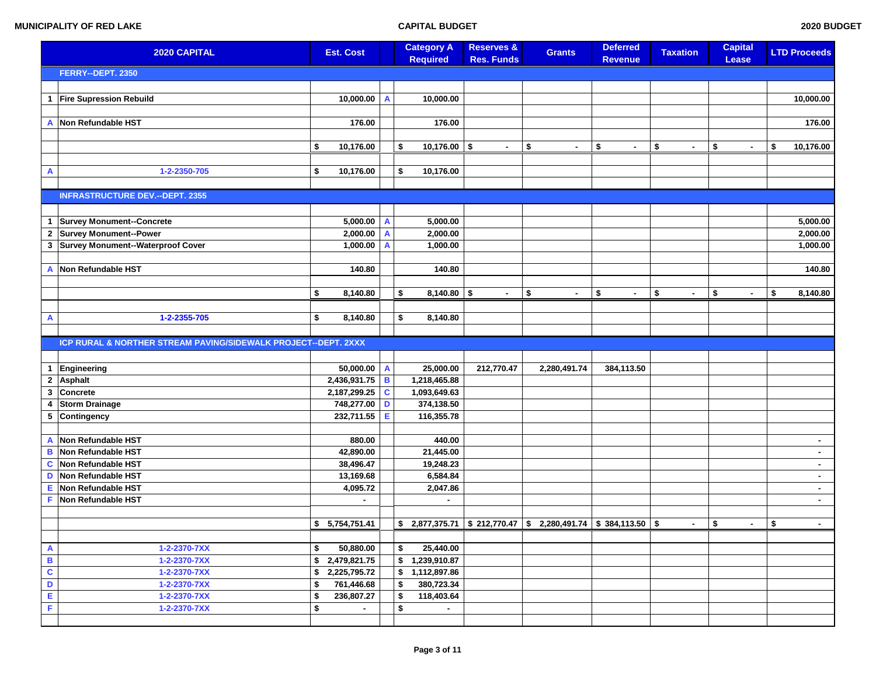| 2020 CAPITAL            |                                                                | <b>Est. Cost</b>   |             | <b>Category A</b><br><b>Required</b> | <b>Reserves &amp;</b><br><b>Res. Funds</b> | <b>Grants</b>                                                 | <b>Deferred</b><br><b>Revenue</b> | <b>Taxation</b>      | <b>Capital</b><br><b>Lease</b> | <b>LTD Proceeds</b> |
|-------------------------|----------------------------------------------------------------|--------------------|-------------|--------------------------------------|--------------------------------------------|---------------------------------------------------------------|-----------------------------------|----------------------|--------------------------------|---------------------|
|                         | FERRY--DEPT. 2350                                              |                    |             |                                      |                                            |                                                               |                                   |                      |                                |                     |
|                         |                                                                |                    |             |                                      |                                            |                                                               |                                   |                      |                                |                     |
| 1                       | <b>Fire Supression Rebuild</b>                                 | 10,000.00          | A           | 10,000.00                            |                                            |                                                               |                                   |                      |                                | 10,000.00           |
|                         |                                                                |                    |             |                                      |                                            |                                                               |                                   |                      |                                |                     |
| А                       | Non Refundable HST                                             | 176.00             |             | 176.00                               |                                            |                                                               |                                   |                      |                                | 176.00              |
|                         |                                                                |                    |             |                                      |                                            |                                                               |                                   |                      |                                |                     |
|                         |                                                                | \$<br>10,176.00    |             | 10,176.00<br>\$                      | \$                                         | \$<br>$\sim$                                                  | \$                                | \$<br>$\blacksquare$ | \$                             | \$<br>10,176.00     |
|                         |                                                                |                    |             |                                      |                                            |                                                               |                                   |                      |                                |                     |
| A                       | 1-2-2350-705                                                   | \$<br>10,176.00    |             | \$<br>10,176.00                      |                                            |                                                               |                                   |                      |                                |                     |
|                         | <b>INFRASTRUCTURE DEV.--DEPT. 2355</b>                         |                    |             |                                      |                                            |                                                               |                                   |                      |                                |                     |
|                         |                                                                |                    |             |                                      |                                            |                                                               |                                   |                      |                                |                     |
| 1                       | <b>Survey Monument--Concrete</b>                               | 5,000.00           | A           | 5,000.00                             |                                            |                                                               |                                   |                      |                                | 5,000.00            |
| $\mathbf 2$             | Survey Monument--Power                                         | 2,000.00           | A           | 2,000.00                             |                                            |                                                               |                                   |                      |                                | 2,000.00            |
| 3                       | Survey Monument--Waterproof Cover                              | 1,000.00           | A           | 1,000.00                             |                                            |                                                               |                                   |                      |                                | 1,000.00            |
|                         |                                                                |                    |             |                                      |                                            |                                                               |                                   |                      |                                |                     |
| Α                       | Non Refundable HST                                             | 140.80             |             | 140.80                               |                                            |                                                               |                                   |                      |                                | 140.80              |
|                         |                                                                |                    |             |                                      |                                            |                                                               |                                   |                      |                                |                     |
|                         |                                                                | \$<br>8,140.80     |             | \$<br>$8,140.80$ \$                  | ۰.                                         | \$<br>$\sim$                                                  | \$<br>$\sim$                      | \$<br>$\blacksquare$ | \$                             | \$<br>8,140.80      |
|                         |                                                                |                    |             |                                      |                                            |                                                               |                                   |                      |                                |                     |
| A                       | 1-2-2355-705                                                   | \$<br>8,140.80     |             | \$<br>8,140.80                       |                                            |                                                               |                                   |                      |                                |                     |
|                         |                                                                |                    |             |                                      |                                            |                                                               |                                   |                      |                                |                     |
|                         | ICP RURAL & NORTHER STREAM PAVING/SIDEWALK PROJECT--DEPT. 2XXX |                    |             |                                      |                                            |                                                               |                                   |                      |                                |                     |
|                         |                                                                |                    |             |                                      |                                            |                                                               |                                   |                      |                                |                     |
| 1                       | Engineering                                                    | 50,000.00          | A           | 25,000.00                            | 212,770.47                                 | 2,280,491.74                                                  | 384,113.50                        |                      |                                |                     |
| $\mathbf{2}$            | Asphalt                                                        | 2,436,931.75       | B           | 1,218,465.88                         |                                            |                                                               |                                   |                      |                                |                     |
| 3                       | Concrete                                                       | 2,187,299.25       | $\mathbf c$ | 1,093,649.63                         |                                            |                                                               |                                   |                      |                                |                     |
| 4                       | <b>Storm Drainage</b>                                          | 748,277.00         | D           | 374,138.50                           |                                            |                                                               |                                   |                      |                                |                     |
|                         | 5 Contingency                                                  | 232,711.55         | Е           | 116,355.78                           |                                            |                                                               |                                   |                      |                                |                     |
|                         | Non Refundable HST                                             | 880.00             |             | 440.00                               |                                            |                                                               |                                   |                      |                                |                     |
| Α<br>B                  | Non Refundable HST                                             | 42,890.00          |             | 21,445.00                            |                                            |                                                               |                                   |                      |                                | $\sim$<br>$\sim$    |
| C                       | Non Refundable HST                                             | 38,496.47          |             | 19,248.23                            |                                            |                                                               |                                   |                      |                                | $\sim$              |
| D                       | Non Refundable HST                                             | 13,169.68          |             | 6,584.84                             |                                            |                                                               |                                   |                      |                                | $\sim$              |
| Ė                       | Non Refundable HST                                             | 4,095.72           |             | 2,047.86                             |                                            |                                                               |                                   |                      |                                | $\sim$              |
| F                       | Non Refundable HST                                             | $\blacksquare$     |             | $\sim$                               |                                            |                                                               |                                   |                      |                                | $\sim$              |
|                         |                                                                |                    |             |                                      |                                            |                                                               |                                   |                      |                                |                     |
|                         |                                                                | \$5,754,751.41     |             | \$                                   |                                            | $2,877,375.71$ \$ 212,770.47 \$ 2,280,491.74 \$ 384,113.50 \$ |                                   | $\blacksquare$       | \$<br>$\blacksquare$           | \$<br>$\sim$        |
|                         |                                                                |                    |             |                                      |                                            |                                                               |                                   |                      |                                |                     |
| $\mathbf{A}$            | 1-2-2370-7XX                                                   | \$<br>50,880.00    |             | \$<br>25,440.00                      |                                            |                                                               |                                   |                      |                                |                     |
| $\, {\bf B}$            | 1-2-2370-7XX                                                   | \$2,479,821.75     |             | \$1,239,910.87                       |                                            |                                                               |                                   |                      |                                |                     |
| $\overline{\mathbf{c}}$ | 1-2-2370-7XX                                                   | \$<br>2,225,795.72 |             | \$<br>1,112,897.86                   |                                            |                                                               |                                   |                      |                                |                     |
| D                       | 1-2-2370-7XX                                                   | \$<br>761,446.68   |             | 380,723.34<br>\$                     |                                            |                                                               |                                   |                      |                                |                     |
| E                       | 1-2-2370-7XX                                                   | \$<br>236,807.27   |             | \$<br>118,403.64                     |                                            |                                                               |                                   |                      |                                |                     |
| F                       | 1-2-2370-7XX                                                   | \$                 |             | \$<br>$\sim$                         |                                            |                                                               |                                   |                      |                                |                     |
|                         |                                                                |                    |             |                                      |                                            |                                                               |                                   |                      |                                |                     |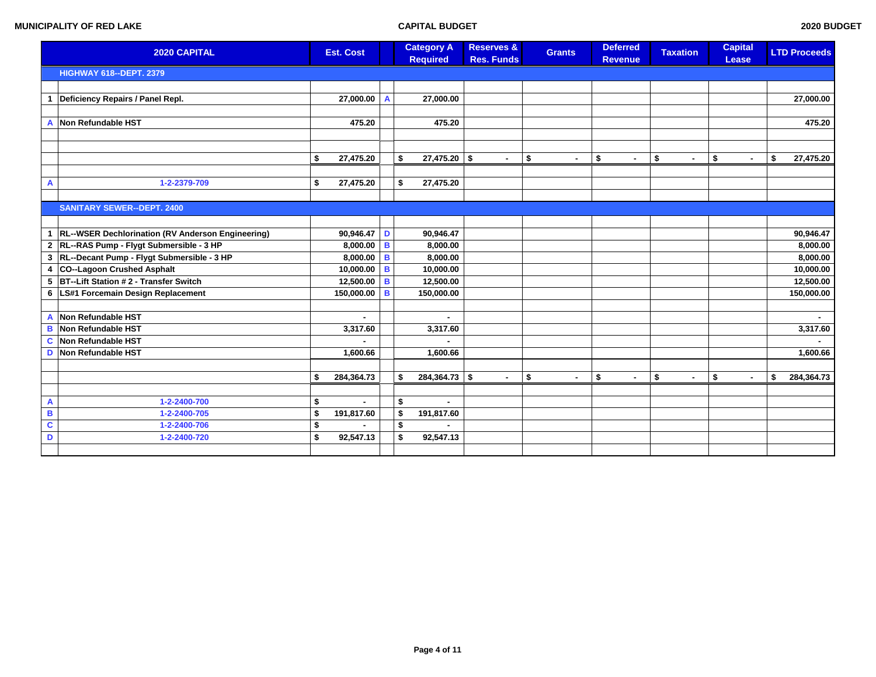|                         | <b>2020 CAPITAL</b>                                   |    | <b>Est. Cost</b> |   | <b>Category A</b><br><b>Required</b> |                              | <b>Reserves &amp;</b><br><b>Res. Funds</b> | <b>Grants</b>        | <b>Deferred</b><br><b>Revenue</b> |                | <b>Taxation</b>      | <b>Capital</b><br>Lease |        | <b>LTD Proceeds</b> |
|-------------------------|-------------------------------------------------------|----|------------------|---|--------------------------------------|------------------------------|--------------------------------------------|----------------------|-----------------------------------|----------------|----------------------|-------------------------|--------|---------------------|
|                         | <b>HIGHWAY 618--DEPT. 2379</b>                        |    |                  |   |                                      |                              |                                            |                      |                                   |                |                      |                         |        |                     |
|                         |                                                       |    |                  |   |                                      |                              |                                            |                      |                                   |                |                      |                         |        |                     |
| $\mathbf 1$             | Deficiency Repairs / Panel Repl.                      |    | 27,000.00        | A |                                      | 27,000.00                    |                                            |                      |                                   |                |                      |                         |        | 27,000.00           |
|                         |                                                       |    |                  |   |                                      |                              |                                            |                      |                                   |                |                      |                         |        |                     |
| A                       | Non Refundable HST                                    |    | 475.20           |   |                                      | 475.20                       |                                            |                      |                                   |                |                      |                         |        | 475.20              |
|                         |                                                       |    |                  |   |                                      |                              |                                            |                      |                                   |                |                      |                         |        |                     |
|                         |                                                       |    |                  |   |                                      |                              |                                            |                      |                                   |                |                      |                         |        |                     |
|                         |                                                       | \$ | 27,475.20        |   | \$                                   | $27,475.20$ \$               | $\blacksquare$                             | \$<br>$\blacksquare$ | \$                                | $\sim$         | \$<br>$\sim$         | \$                      | $\sim$ | \$<br>27,475.20     |
|                         |                                                       |    |                  |   |                                      |                              |                                            |                      |                                   |                |                      |                         |        |                     |
| $\overline{A}$          | 1-2-2379-709                                          | \$ | 27,475.20        |   | \$                                   | 27,475.20                    |                                            |                      |                                   |                |                      |                         |        |                     |
|                         |                                                       |    |                  |   |                                      |                              |                                            |                      |                                   |                |                      |                         |        |                     |
|                         | <b>SANITARY SEWER--DEPT. 2400</b>                     |    |                  |   |                                      |                              |                                            |                      |                                   |                |                      |                         |        |                     |
|                         |                                                       |    |                  |   |                                      |                              |                                            |                      |                                   |                |                      |                         |        |                     |
|                         | 1   RL--WSER Dechlorination (RV Anderson Engineering) |    | 90,946.47 D      |   |                                      | 90,946.47                    |                                            |                      |                                   |                |                      |                         |        | 90,946.47           |
|                         | 2 RL--RAS Pump - Flygt Submersible - 3 HP             |    | 8,000.00         | В |                                      | 8,000.00                     |                                            |                      |                                   |                |                      |                         |        | 8,000.00            |
| $\mathbf{3}$            | RL--Decant Pump - Flygt Submersible - 3 HP            |    | 8,000.00         | в |                                      | 8,000.00                     |                                            |                      |                                   |                |                      |                         |        | 8,000.00            |
| 4                       | CO--Lagoon Crushed Asphalt                            |    | 10,000.00        | в |                                      | 10,000.00                    |                                            |                      |                                   |                |                      |                         |        | 10,000.00           |
| 5                       | BT--Lift Station #2 - Transfer Switch                 |    | 12,500.00        | B |                                      | 12,500.00                    |                                            |                      |                                   |                |                      |                         |        | 12,500.00           |
|                         | 6   LS#1 Forcemain Design Replacement                 |    | 150,000.00       | B |                                      | 150,000.00                   |                                            |                      |                                   |                |                      |                         |        | 150,000.00          |
|                         |                                                       |    |                  |   |                                      |                              |                                            |                      |                                   |                |                      |                         |        |                     |
| A                       | Non Refundable HST                                    |    |                  |   |                                      | $\blacksquare$               |                                            |                      |                                   |                |                      |                         |        | $\sim$              |
| B                       | Non Refundable HST                                    |    | 3,317.60         |   |                                      | 3,317.60                     |                                            |                      |                                   |                |                      |                         |        | 3,317.60            |
| C                       | Non Refundable HST                                    |    |                  |   |                                      |                              |                                            |                      |                                   |                |                      |                         |        |                     |
| D                       | Non Refundable HST                                    |    | 1,600.66         |   |                                      | 1,600.66                     |                                            |                      |                                   |                |                      |                         |        | 1,600.66            |
|                         |                                                       |    |                  |   |                                      |                              |                                            |                      |                                   |                |                      |                         |        |                     |
|                         |                                                       | \$ | 284,364.73       |   | \$                                   | $284,364.73$ \$              | $\blacksquare$                             | \$<br>$\blacksquare$ | \$                                | $\blacksquare$ | \$<br>$\blacksquare$ | \$                      | $\sim$ | \$<br>284,364.73    |
| A                       | 1-2-2400-700                                          | \$ |                  |   | \$                                   |                              |                                            |                      |                                   |                |                      |                         |        |                     |
| $\, {\bf B}$            | 1-2-2400-705                                          | \$ | 191,817.60       |   | \$                                   | $\blacksquare$<br>191,817.60 |                                            |                      |                                   |                |                      |                         |        |                     |
| $\overline{\mathbf{c}}$ | 1-2-2400-706                                          | \$ |                  |   | \$                                   |                              |                                            |                      |                                   |                |                      |                         |        |                     |
| $\mathbf D$             | 1-2-2400-720                                          | \$ | 92,547.13        |   | \$                                   | 92,547.13                    |                                            |                      |                                   |                |                      |                         |        |                     |
|                         |                                                       |    |                  |   |                                      |                              |                                            |                      |                                   |                |                      |                         |        |                     |
|                         |                                                       |    |                  |   |                                      |                              |                                            |                      |                                   |                |                      |                         |        |                     |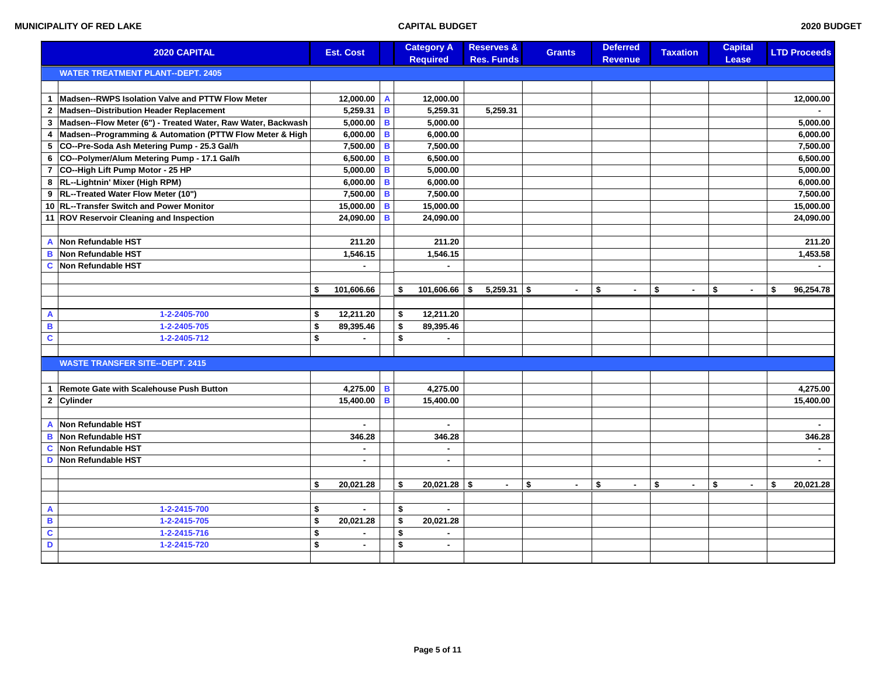|                         | 2020 CAPITAL                                                 | <b>Est. Cost</b>    |   | <b>Category A</b><br><b>Required</b> | <b>Reserves &amp;</b><br><b>Res. Funds</b> | <b>Grants</b> | <b>Deferred</b> | <b>Taxation</b>    | <b>Capital</b><br>Lease | <b>LTD Proceeds</b> |
|-------------------------|--------------------------------------------------------------|---------------------|---|--------------------------------------|--------------------------------------------|---------------|-----------------|--------------------|-------------------------|---------------------|
|                         | <b>WATER TREATMENT PLANT--DEPT. 2405</b>                     |                     |   |                                      |                                            |               | <b>Revenue</b>  |                    |                         |                     |
|                         |                                                              |                     |   |                                      |                                            |               |                 |                    |                         |                     |
| $\mathbf{1}$            | Madsen--RWPS Isolation Valve and PTTW Flow Meter             | 12,000.00 $\vert$ A |   | 12,000.00                            |                                            |               |                 |                    |                         | 12,000.00           |
| $\mathbf{2}$            | Madsen--Distribution Header Replacement                      | $5,259.31$ B        |   | 5,259.31                             | 5,259.31                                   |               |                 |                    |                         |                     |
| $\mathbf{3}$            | Madsen--Flow Meter (6") - Treated Water, Raw Water, Backwash | $5,000.00$ B        |   | 5,000.00                             |                                            |               |                 |                    |                         | 5,000.00            |
| $\overline{4}$          | Madsen--Programming & Automation (PTTW Flow Meter & High     | $6,000.00$ B        |   | 6,000.00                             |                                            |               |                 |                    |                         | 6,000.00            |
| 5                       | CO--Pre-Soda Ash Metering Pump - 25.3 Gal/h                  | $7,500.00$ B        |   | 7,500.00                             |                                            |               |                 |                    |                         | 7,500.00            |
| 6                       | CO--Polymer/Alum Metering Pump - 17.1 Gal/h                  | 6,500.00 B          |   | 6,500.00                             |                                            |               |                 |                    |                         | 6,500.00            |
| $\overline{7}$          | CO--High Lift Pump Motor - 25 HP                             | $5,000.00$ B        |   | 5,000.00                             |                                            |               |                 |                    |                         | 5,000.00            |
| 8                       | RL--Lightnin' Mixer (High RPM)                               | $6,000.00$ B        |   | 6,000.00                             |                                            |               |                 |                    |                         | 6,000.00            |
| 9                       | RL--Treated Water Flow Meter (10")                           | $7,500.00$ B        |   | 7,500.00                             |                                            |               |                 |                    |                         | 7,500.00            |
|                         | 10 RL--Transfer Switch and Power Monitor                     | $15,000.00$ B       |   | 15,000.00                            |                                            |               |                 |                    |                         | 15,000.00           |
|                         | 11 ROV Reservoir Cleaning and Inspection                     | 24,090.00           | B | 24,090.00                            |                                            |               |                 |                    |                         | 24,090.00           |
|                         |                                                              |                     |   |                                      |                                            |               |                 |                    |                         |                     |
| A                       | Non Refundable HST                                           | 211.20              |   | 211.20                               |                                            |               |                 |                    |                         | 211.20              |
| B                       | Non Refundable HST                                           | 1,546.15            |   | 1,546.15                             |                                            |               |                 |                    |                         | 1,453.58            |
| C                       | Non Refundable HST                                           |                     |   |                                      |                                            |               |                 |                    |                         | $\sim$              |
|                         |                                                              |                     |   |                                      |                                            |               |                 |                    |                         |                     |
|                         |                                                              | \$<br>101,606.66    |   | $101,606.66$ \$<br>\$                | $5,259.31$ \$                              | $\sim$        | \$<br>$\sim$    | \$<br>$\mathbf{r}$ | \$<br>$\sim$            | \$<br>96,254.78     |
|                         |                                                              |                     |   |                                      |                                            |               |                 |                    |                         |                     |
| A                       | 1-2-2405-700                                                 | \$<br>12,211.20     |   | \$<br>12,211.20                      |                                            |               |                 |                    |                         |                     |
| B                       | 1-2-2405-705                                                 | \$<br>89,395.46     |   | 89,395.46<br>\$                      |                                            |               |                 |                    |                         |                     |
| $\overline{\mathbf{c}}$ | 1-2-2405-712                                                 | \$<br>$\sim$        |   | \$<br>$\sim$                         |                                            |               |                 |                    |                         |                     |
|                         |                                                              |                     |   |                                      |                                            |               |                 |                    |                         |                     |
|                         | <b>WASTE TRANSFER SITE--DEPT. 2415</b>                       |                     |   |                                      |                                            |               |                 |                    |                         |                     |
|                         |                                                              |                     |   |                                      |                                            |               |                 |                    |                         |                     |
| $\mathbf{1}$            | <b>Remote Gate with Scalehouse Push Button</b>               | $4,275.00$ B        |   | 4,275.00                             |                                            |               |                 |                    |                         | 4,275.00            |
|                         | 2 Cylinder                                                   | 15,400.00   B       |   | 15,400.00                            |                                            |               |                 |                    |                         | 15,400.00           |
|                         |                                                              |                     |   |                                      |                                            |               |                 |                    |                         |                     |
| A                       | Non Refundable HST                                           | $\sim$              |   | $\sim$                               |                                            |               |                 |                    |                         |                     |
| B                       | Non Refundable HST                                           | 346.28              |   | 346.28                               |                                            |               |                 |                    |                         | 346.28              |
| C                       | Non Refundable HST                                           | $\blacksquare$      |   | $\sim$                               |                                            |               |                 |                    |                         | $\blacksquare$      |
| D                       | Non Refundable HST                                           |                     |   | $\sim$                               |                                            |               |                 |                    |                         | $\sim$              |
|                         |                                                              |                     |   |                                      |                                            |               |                 |                    |                         |                     |
|                         |                                                              | \$<br>20,021.28     |   | $20,021.28$ \$<br>\$                 | $\sim$                                     | \$<br>$\sim$  | \$<br>$\sim$    | \$<br>$\sim$       | \$                      | \$<br>20,021.28     |
|                         |                                                              |                     |   |                                      |                                            |               |                 |                    |                         |                     |
| A                       | 1-2-2415-700                                                 | \$                  |   | \$                                   |                                            |               |                 |                    |                         |                     |
| $\overline{\mathbf{B}}$ | 1-2-2415-705                                                 | \$<br>20,021.28     |   | \$<br>20,021.28                      |                                            |               |                 |                    |                         |                     |
| ¢                       | 1-2-2415-716                                                 | \$                  |   | \$                                   |                                            |               |                 |                    |                         |                     |
| D                       | 1-2-2415-720                                                 | \$<br>ä,            |   | \$<br>$\blacksquare$                 |                                            |               |                 |                    |                         |                     |
|                         |                                                              |                     |   |                                      |                                            |               |                 |                    |                         |                     |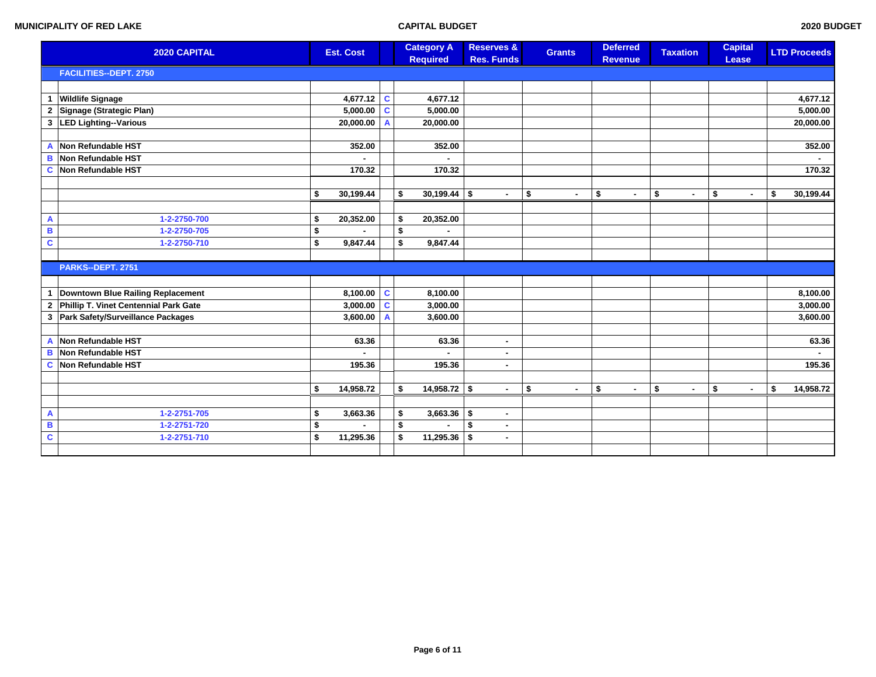|                         | 2020 CAPITAL                          |    | <b>Est. Cost</b> |                | <b>Category A</b><br><b>Required</b> | <b>Reserves &amp;</b><br><b>Res. Funds</b> | <b>Grants</b> | <b>Deferred</b><br><b>Revenue</b> | <b>Taxation</b>          | <b>Capital</b><br>Lease | <b>LTD Proceeds</b> |
|-------------------------|---------------------------------------|----|------------------|----------------|--------------------------------------|--------------------------------------------|---------------|-----------------------------------|--------------------------|-------------------------|---------------------|
|                         | <b>FACILITIES--DEPT. 2750</b>         |    |                  |                |                                      |                                            |               |                                   |                          |                         |                     |
|                         |                                       |    |                  |                |                                      |                                            |               |                                   |                          |                         |                     |
| $\mathbf{1}$            | <b>Wildlife Signage</b>               |    | 4,677.12         | $\mathbf c$    | 4,677.12                             |                                            |               |                                   |                          |                         | 4,677.12            |
| $\mathbf{2}$            | Signage (Strategic Plan)              |    | 5,000.00         | $\mathbf c$    | 5,000.00                             |                                            |               |                                   |                          |                         | 5,000.00            |
| 3                       | <b>LED Lighting--Various</b>          |    | 20,000.00        | $\overline{A}$ | 20,000.00                            |                                            |               |                                   |                          |                         | 20,000.00           |
|                         |                                       |    |                  |                |                                      |                                            |               |                                   |                          |                         |                     |
| $\overline{A}$          | Non Refundable HST                    |    | 352.00           |                | 352.00                               |                                            |               |                                   |                          |                         | 352.00              |
| в                       | Non Refundable HST                    |    |                  |                |                                      |                                            |               |                                   |                          |                         |                     |
| $\mathbf{C}$            | Non Refundable HST                    |    | 170.32           |                | 170.32                               |                                            |               |                                   |                          |                         | 170.32              |
|                         |                                       |    |                  |                |                                      |                                            |               |                                   |                          |                         |                     |
|                         |                                       | \$ | 30,199.44        |                | \$<br>$30,199.44$ \$                 | $\sim$                                     | \$<br>$\sim$  | \$<br>$\sim$                      | $$\mathbb{S}$$<br>$\sim$ | \$<br>$\sim$            | \$<br>30,199.44     |
|                         |                                       |    |                  |                |                                      |                                            |               |                                   |                          |                         |                     |
| A                       | 1-2-2750-700                          | \$ | 20,352.00        |                | \$<br>20,352.00                      |                                            |               |                                   |                          |                         |                     |
| $\overline{\mathbf{B}}$ | 1-2-2750-705                          | \$ |                  |                | \$                                   |                                            |               |                                   |                          |                         |                     |
| $\mathbf c$             | 1-2-2750-710                          | \$ | 9,847.44         |                | \$<br>9,847.44                       |                                            |               |                                   |                          |                         |                     |
|                         |                                       |    |                  |                |                                      |                                            |               |                                   |                          |                         |                     |
|                         | PARKS--DEPT. 2751                     |    |                  |                |                                      |                                            |               |                                   |                          |                         |                     |
|                         |                                       |    |                  |                |                                      |                                            |               |                                   |                          |                         |                     |
| $\mathbf{1}$            | Downtown Blue Railing Replacement     |    | 8,100.00         | $\mathbf c$    | 8,100.00                             |                                            |               |                                   |                          |                         | 8,100.00            |
| $\mathbf{2}$            | Phillip T. Vinet Centennial Park Gate |    | 3,000.00         | $\mathbf c$    | 3,000.00                             |                                            |               |                                   |                          |                         | 3,000.00            |
| 3                       | Park Safety/Surveillance Packages     |    | 3,600.00         | $\mathsf{A}$   | 3,600.00                             |                                            |               |                                   |                          |                         | 3,600.00            |
|                         |                                       |    |                  |                |                                      |                                            |               |                                   |                          |                         |                     |
| A                       | Non Refundable HST                    |    | 63.36            |                | 63.36                                | $\sim$                                     |               |                                   |                          |                         | 63.36               |
| B                       | Non Refundable HST                    |    |                  |                |                                      | $\sim$                                     |               |                                   |                          |                         | ٠                   |
| C                       | Non Refundable HST                    |    | 195.36           |                | 195.36                               | $\sim$                                     |               |                                   |                          |                         | 195.36              |
|                         |                                       |    |                  |                |                                      |                                            |               |                                   |                          |                         |                     |
|                         |                                       | \$ | 14,958.72        |                | \$<br>$14,958.72$ \$                 | $\sim$                                     | \$<br>$\sim$  | \$<br>$\sim$                      | \$<br>$\blacksquare$     | \$                      | \$<br>14,958.72     |
|                         |                                       |    |                  |                |                                      |                                            |               |                                   |                          |                         |                     |
| $\mathbf{A}$            | 1-2-2751-705                          | \$ | 3,663.36         |                | \$<br>$3,663.36$ \$                  | $\sim$                                     |               |                                   |                          |                         |                     |
| B                       | 1-2-2751-720                          | \$ |                  |                | \$                                   | \$<br>$\sim$                               |               |                                   |                          |                         |                     |
| $\overline{\mathbf{c}}$ | 1-2-2751-710                          | \$ | 11,295.36        |                | \$<br>11,295.36                      | \$<br>$\sim$                               |               |                                   |                          |                         |                     |
|                         |                                       |    |                  |                |                                      |                                            |               |                                   |                          |                         |                     |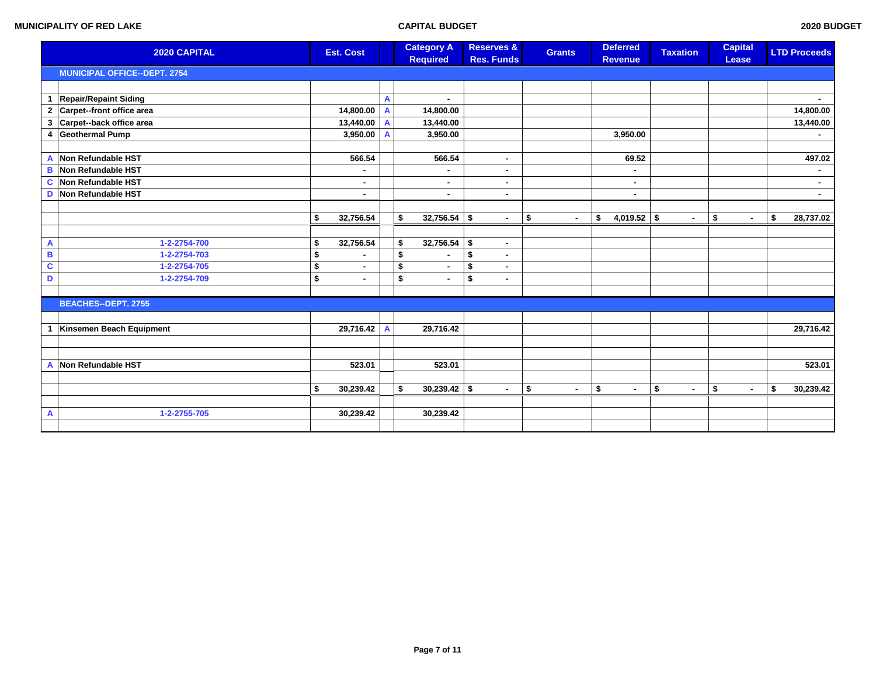|                         | 2020 CAPITAL                        | <b>Est. Cost</b>     |   | <b>Category A</b><br><b>Required</b> | <b>Reserves &amp;</b><br><b>Res. Funds</b> | <b>Grants</b>        | <b>Deferred</b><br><b>Revenue</b> | <b>Taxation</b>      | <b>Capital</b><br>Lease | <b>LTD Proceeds</b> |
|-------------------------|-------------------------------------|----------------------|---|--------------------------------------|--------------------------------------------|----------------------|-----------------------------------|----------------------|-------------------------|---------------------|
|                         | <b>MUNICIPAL OFFICE--DEPT. 2754</b> |                      |   |                                      |                                            |                      |                                   |                      |                         |                     |
|                         |                                     |                      |   |                                      |                                            |                      |                                   |                      |                         |                     |
| $\mathbf{1}$            | Repair/Repaint Siding               |                      | A | ÷                                    |                                            |                      |                                   |                      |                         | $\blacksquare$      |
| $\mathbf{2}$            | Carpet--front office area           | 14,800.00            | A | 14,800.00                            |                                            |                      |                                   |                      |                         | 14,800.00           |
| 3                       | Carpet--back office area            | 13,440.00            | A | 13,440.00                            |                                            |                      |                                   |                      |                         | 13,440.00           |
| 4                       | <b>Geothermal Pump</b>              | 3,950.00             |   | 3,950.00                             |                                            |                      | 3,950.00                          |                      |                         |                     |
|                         |                                     |                      |   |                                      |                                            |                      |                                   |                      |                         |                     |
| A                       | Non Refundable HST                  | 566.54               |   | 566.54                               | $\blacksquare$                             |                      | 69.52                             |                      |                         | 497.02              |
| B                       | Non Refundable HST                  |                      |   |                                      |                                            |                      | ÷                                 |                      |                         |                     |
| $\mathbf c$             | Non Refundable HST                  | $\blacksquare$       |   | ٠                                    | $\blacksquare$                             |                      | ٠                                 |                      |                         | ٠                   |
| D                       | Non Refundable HST                  | ٠                    |   | ٠                                    |                                            |                      | ٠                                 |                      |                         |                     |
|                         |                                     |                      |   |                                      |                                            |                      |                                   |                      |                         |                     |
|                         |                                     | 32,756.54<br>\$      |   | $32,756.54$ \$<br>\$                 | $\sim$                                     | \$<br>$\mathbf{r}$   | $4,019.52$ \$<br>\$               | $\bullet$            | \$<br>$\sim$            | \$<br>28,737.02     |
|                         |                                     |                      |   |                                      |                                            |                      |                                   |                      |                         |                     |
| $\mathbf{A}$            | 1-2-2754-700                        | \$<br>32,756.54      |   | $32,756.54$ \$<br>\$                 | $\sim$                                     |                      |                                   |                      |                         |                     |
| $\overline{\mathbf{B}}$ | 1-2-2754-703                        | \$                   |   | \$<br>٠                              | \$<br>٠                                    |                      |                                   |                      |                         |                     |
| $\overline{\mathbf{c}}$ | 1-2-2754-705                        | \$<br>$\blacksquare$ |   | \$<br>÷                              | \$<br>$\blacksquare$                       |                      |                                   |                      |                         |                     |
| D                       | 1-2-2754-709                        | \$<br>$\blacksquare$ |   | \$<br>٠                              | \$<br>$\blacksquare$                       |                      |                                   |                      |                         |                     |
|                         |                                     |                      |   |                                      |                                            |                      |                                   |                      |                         |                     |
|                         | <b>BEACHES--DEPT. 2755</b>          |                      |   |                                      |                                            |                      |                                   |                      |                         |                     |
|                         |                                     |                      |   |                                      |                                            |                      |                                   |                      |                         |                     |
| $\mathbf 1$             | Kinsemen Beach Equipment            | 29,716.42            | A | 29,716.42                            |                                            |                      |                                   |                      |                         | 29,716.42           |
|                         |                                     |                      |   |                                      |                                            |                      |                                   |                      |                         |                     |
|                         |                                     |                      |   |                                      |                                            |                      |                                   |                      |                         |                     |
| A                       | Non Refundable HST                  | 523.01               |   | 523.01                               |                                            |                      |                                   |                      |                         | 523.01              |
|                         |                                     |                      |   |                                      |                                            |                      |                                   |                      |                         |                     |
|                         |                                     | \$<br>30,239.42      |   | $30,239.42$ \$<br>\$                 | $\sim$                                     | \$<br>$\blacksquare$ | \$<br>$\sim$                      | \$<br>$\blacksquare$ | \$<br>$\sim$            | \$<br>30,239.42     |
|                         |                                     |                      |   |                                      |                                            |                      |                                   |                      |                         |                     |
| A                       | 1-2-2755-705                        | 30,239.42            |   | 30,239.42                            |                                            |                      |                                   |                      |                         |                     |
|                         |                                     |                      |   |                                      |                                            |                      |                                   |                      |                         |                     |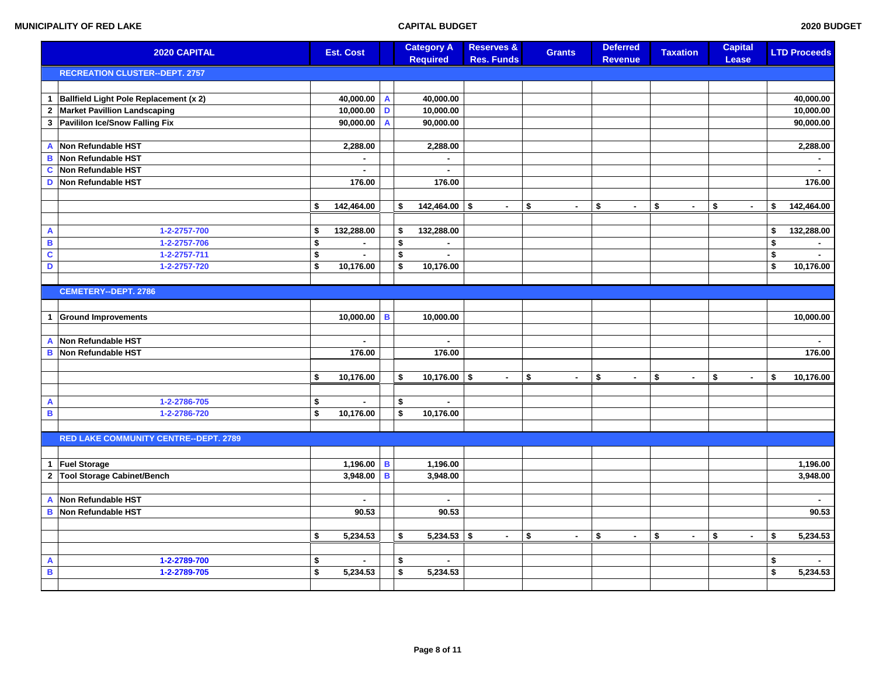| 2020 CAPITAL              |                                              | <b>Est. Cost</b>   |   | <b>Category A</b><br><b>Required</b> | <b>Reserves &amp;</b><br><b>Res. Funds</b> | <b>Grants</b>        | <b>Deferred</b><br><b>Revenue</b> | <b>Taxation</b>    | <b>Capital</b><br>Lease | <b>LTD Proceeds</b> |
|---------------------------|----------------------------------------------|--------------------|---|--------------------------------------|--------------------------------------------|----------------------|-----------------------------------|--------------------|-------------------------|---------------------|
|                           | <b>RECREATION CLUSTER--DEPT. 2757</b>        |                    |   |                                      |                                            |                      |                                   |                    |                         |                     |
|                           |                                              |                    |   |                                      |                                            |                      |                                   |                    |                         |                     |
| $\mathbf{1}$              | Ballfield Light Pole Replacement (x 2)       | 40,000.00 A        |   | 40,000.00                            |                                            |                      |                                   |                    |                         | 40,000.00           |
| $\mathbf{2}$              | <b>Market Pavillion Landscaping</b>          | $10,000.00$ D      |   | 10,000.00                            |                                            |                      |                                   |                    |                         | 10,000.00           |
| $\mathbf{3}$              | Pavililon Ice/Snow Falling Fix               | 90,000.00          | A | 90,000.00                            |                                            |                      |                                   |                    |                         | 90,000.00           |
|                           |                                              |                    |   |                                      |                                            |                      |                                   |                    |                         |                     |
| A                         | Non Refundable HST                           | 2,288.00           |   | 2,288.00                             |                                            |                      |                                   |                    |                         | 2,288.00            |
| B                         | Non Refundable HST                           | $\mathbf{r}$       |   | $\blacksquare$                       |                                            |                      |                                   |                    |                         | $\sim$              |
| C                         | Non Refundable HST                           | ä,                 |   | $\blacksquare$                       |                                            |                      |                                   |                    |                         | $\sim$              |
| D                         | Non Refundable HST                           | 176.00             |   | 176.00                               |                                            |                      |                                   |                    |                         | 176.00              |
|                           |                                              |                    |   |                                      |                                            |                      |                                   |                    |                         |                     |
|                           |                                              | \$<br>142,464.00   |   | \$<br>$142,464.00$ \$                | $\sim$                                     | \$<br>÷.             | \$<br>$\sim$                      | \$<br>$\mathbf{r}$ | \$<br>$\sim$            | \$<br>142,464.00    |
|                           |                                              |                    |   |                                      |                                            |                      |                                   |                    |                         |                     |
| $\boldsymbol{\mathsf{A}}$ | 1-2-2757-700                                 | \$<br>132,288.00   |   | \$<br>132,288.00                     |                                            |                      |                                   |                    |                         | \$<br>132,288.00    |
| $\, {\bf B}$              | 1-2-2757-706                                 | \$<br>$\mathbf{r}$ |   | \$<br>$\mathbf{r}$                   |                                            |                      |                                   |                    |                         | \$<br>$\sim$        |
| $\overline{\mathbf{c}}$   | 1-2-2757-711                                 | \$                 |   | \$<br>$\sim$                         |                                            |                      |                                   |                    |                         | \$                  |
| D                         | 1-2-2757-720                                 | \$<br>10,176.00    |   | \$<br>10,176.00                      |                                            |                      |                                   |                    |                         | \$<br>10,176.00     |
|                           |                                              |                    |   |                                      |                                            |                      |                                   |                    |                         |                     |
|                           | <b>CEMETERY--DEPT. 2786</b>                  |                    |   |                                      |                                            |                      |                                   |                    |                         |                     |
|                           |                                              |                    |   |                                      |                                            |                      |                                   |                    |                         |                     |
| $\mathbf{1}$              | <b>Ground Improvements</b>                   | 10,000.00          | B | 10,000.00                            |                                            |                      |                                   |                    |                         | 10,000.00           |
|                           |                                              |                    |   |                                      |                                            |                      |                                   |                    |                         |                     |
| A                         | Non Refundable HST                           | $\blacksquare$     |   | $\sim$                               |                                            |                      |                                   |                    |                         | $\sim$              |
| B                         | Non Refundable HST                           | 176.00             |   | 176.00                               |                                            |                      |                                   |                    |                         | 176.00              |
|                           |                                              |                    |   |                                      |                                            |                      |                                   |                    |                         |                     |
|                           |                                              | \$<br>10,176.00    |   | \$<br>$10,176.00$ \$                 | $\sim$                                     | \$<br>$\sim$         | \$<br>$\sim$                      | \$<br>$\sim$       | \$<br>$\sim$            | \$<br>10,176.00     |
|                           |                                              |                    |   |                                      |                                            |                      |                                   |                    |                         |                     |
| A                         | 1-2-2786-705                                 | \$                 |   | \$                                   |                                            |                      |                                   |                    |                         |                     |
| $\, {\bf B}$              | 1-2-2786-720                                 | \$<br>10,176.00    |   | \$<br>10,176.00                      |                                            |                      |                                   |                    |                         |                     |
|                           |                                              |                    |   |                                      |                                            |                      |                                   |                    |                         |                     |
|                           | <b>RED LAKE COMMUNITY CENTRE--DEPT. 2789</b> |                    |   |                                      |                                            |                      |                                   |                    |                         |                     |
|                           |                                              |                    |   |                                      |                                            |                      |                                   |                    |                         |                     |
| $\mathbf{1}$              | <b>Fuel Storage</b>                          | 1,196.00   B       |   | 1,196.00                             |                                            |                      |                                   |                    |                         | 1,196.00            |
| $\mathbf{2}$              | Tool Storage Cabinet/Bench                   | $3,948.00$ B       |   | 3,948.00                             |                                            |                      |                                   |                    |                         | 3,948.00            |
|                           |                                              |                    |   |                                      |                                            |                      |                                   |                    |                         |                     |
| A                         | Non Refundable HST                           | L.                 |   | $\overline{a}$                       |                                            |                      |                                   |                    |                         | $\mathbf{r}$        |
| B                         | Non Refundable HST                           | 90.53              |   | 90.53                                |                                            |                      |                                   |                    |                         | 90.53               |
|                           |                                              |                    |   |                                      |                                            |                      |                                   |                    |                         |                     |
|                           |                                              | \$<br>5,234.53     |   | \$<br>$5,234.53$ \$                  | $\sim$                                     | \$<br>$\blacksquare$ | \$<br>$\sim$                      | \$<br>$\sim$       | \$<br>$\bullet$         | \$<br>5,234.53      |
|                           |                                              |                    |   |                                      |                                            |                      |                                   |                    |                         |                     |
| $\mathbf{A}$              | 1-2-2789-700                                 | \$<br>$\mathbf{r}$ |   | \$<br>$\blacksquare$                 |                                            |                      |                                   |                    |                         | \$                  |
| $\overline{\mathbf{B}}$   | 1-2-2789-705                                 | \$<br>5,234.53     |   | \$<br>5,234.53                       |                                            |                      |                                   |                    |                         | \$<br>5,234.53      |
|                           |                                              |                    |   |                                      |                                            |                      |                                   |                    |                         |                     |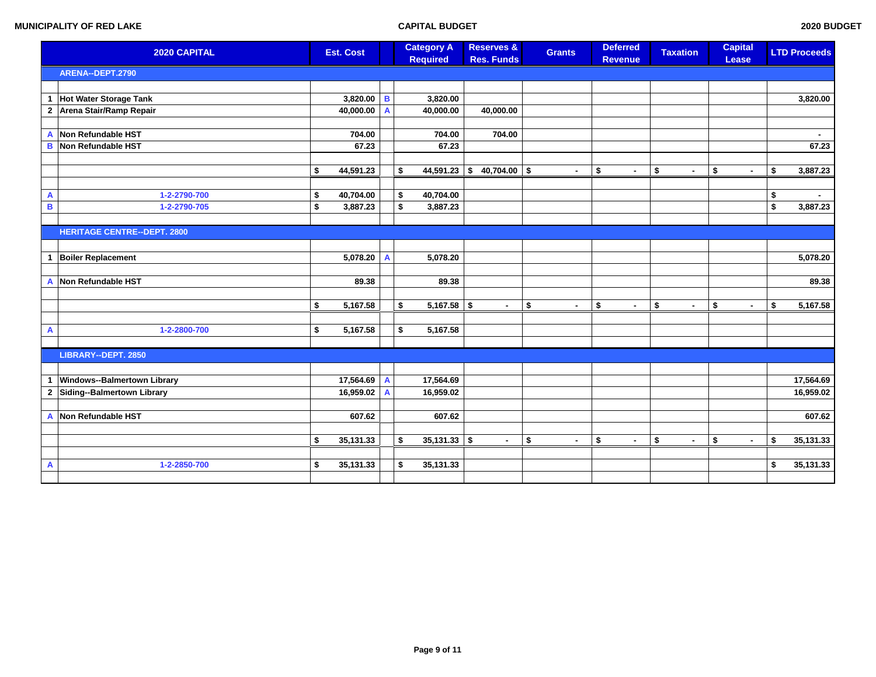|                           | 2020 CAPITAL                       |    | <b>Est. Cost</b> |   | <b>Category A</b><br><b>Required</b> | <b>Reserves &amp;</b><br><b>Res. Funds</b> | <b>Grants</b>        | <b>Deferred</b><br><b>Revenue</b> | <b>Taxation</b> |                          | <b>Lease</b> | <b>Capital</b> | <b>LTD Proceeds</b> |
|---------------------------|------------------------------------|----|------------------|---|--------------------------------------|--------------------------------------------|----------------------|-----------------------------------|-----------------|--------------------------|--------------|----------------|---------------------|
|                           | ARENA--DEPT.2790                   |    |                  |   |                                      |                                            |                      |                                   |                 |                          |              |                |                     |
|                           |                                    |    |                  |   |                                      |                                            |                      |                                   |                 |                          |              |                |                     |
| $\mathbf{1}$              | Hot Water Storage Tank             |    | 3,820.00         | B | 3,820.00                             |                                            |                      |                                   |                 |                          |              |                | 3,820.00            |
| $\mathbf{2}$              | Arena Stair/Ramp Repair            |    | 40,000.00        | A | 40,000.00                            | 40,000.00                                  |                      |                                   |                 |                          |              |                |                     |
|                           |                                    |    |                  |   |                                      |                                            |                      |                                   |                 |                          |              |                |                     |
| $\overline{A}$            | Non Refundable HST                 |    | 704.00           |   | 704.00                               | 704.00                                     |                      |                                   |                 |                          |              |                |                     |
| B                         | Non Refundable HST                 |    | 67.23            |   | 67.23                                |                                            |                      |                                   |                 |                          |              |                | 67.23               |
|                           |                                    |    |                  |   |                                      |                                            |                      |                                   |                 |                          |              |                |                     |
|                           |                                    | \$ | 44,591.23        |   | \$<br>$44,591.23$ \$                 | $40,704.00$ \$                             | $\blacksquare$       | \$<br>٠                           | \$              | $\sim$                   | \$           | $\blacksquare$ | \$<br>3,887.23      |
|                           |                                    |    |                  |   |                                      |                                            |                      |                                   |                 |                          |              |                |                     |
| A                         | 1-2-2790-700                       | \$ | 40,704.00        |   | 40,704.00<br>\$                      |                                            |                      |                                   |                 |                          |              |                | \$                  |
| $\, {\bf B} \,$           | 1-2-2790-705                       | \$ | 3,887.23         |   | \$<br>3,887.23                       |                                            |                      |                                   |                 |                          |              |                | \$<br>3,887.23      |
|                           |                                    |    |                  |   |                                      |                                            |                      |                                   |                 |                          |              |                |                     |
|                           | <b>HERITAGE CENTRE--DEPT. 2800</b> |    |                  |   |                                      |                                            |                      |                                   |                 |                          |              |                |                     |
|                           |                                    |    |                  |   |                                      |                                            |                      |                                   |                 |                          |              |                |                     |
| $\mathbf 1$               | <b>Boiler Replacement</b>          |    | 5,078.20         | A | 5,078.20                             |                                            |                      |                                   |                 |                          |              |                | 5,078.20            |
|                           |                                    |    |                  |   |                                      |                                            |                      |                                   |                 |                          |              |                |                     |
| A                         | Non Refundable HST                 |    | 89.38            |   | 89.38                                |                                            |                      |                                   |                 |                          |              |                | 89.38               |
|                           |                                    |    |                  |   |                                      |                                            |                      |                                   |                 |                          |              |                |                     |
|                           |                                    | \$ | 5,167.58         |   | $5,167.58$ \$<br>\$                  | $\overline{a}$                             | \$<br>$\blacksquare$ | \$<br>÷                           | $\pmb{\$}$      | $\overline{\phantom{a}}$ | \$           | $\sim$         | \$<br>5,167.58      |
|                           |                                    |    |                  |   |                                      |                                            |                      |                                   |                 |                          |              |                |                     |
| $\boldsymbol{\mathsf{A}}$ | 1-2-2800-700                       | \$ | 5,167.58         |   | \$<br>5,167.58                       |                                            |                      |                                   |                 |                          |              |                |                     |
|                           | LIBRARY--DEPT. 2850                |    |                  |   |                                      |                                            |                      |                                   |                 |                          |              |                |                     |
|                           |                                    |    |                  |   |                                      |                                            |                      |                                   |                 |                          |              |                |                     |
|                           |                                    |    |                  |   |                                      |                                            |                      |                                   |                 |                          |              |                |                     |
| $\mathbf{1}$              | Windows--Balmertown Library        |    | 17,564.69        | A | 17,564.69                            |                                            |                      |                                   |                 |                          |              |                | 17,564.69           |
| $\mathbf{2}$              | Siding--Balmertown Library         |    | 16,959.02        | A | 16,959.02                            |                                            |                      |                                   |                 |                          |              |                | 16,959.02           |
| $\mathsf{A}$              | Non Refundable HST                 |    | 607.62           |   | 607.62                               |                                            |                      |                                   |                 |                          |              |                | 607.62              |
|                           |                                    |    |                  |   |                                      |                                            |                      |                                   |                 |                          |              |                |                     |
|                           |                                    | \$ | 35,131.33        |   | $35,131.33$ \$<br>\$                 | $\blacksquare$                             | \$<br>$\blacksquare$ | \$<br>$\sim$                      | \$              | $\sim$                   | \$           | $\blacksquare$ | \$<br>35,131.33     |
|                           |                                    |    |                  |   |                                      |                                            |                      |                                   |                 |                          |              |                |                     |
| A                         | 1-2-2850-700                       | \$ | 35,131.33        |   | 35,131.33<br>\$                      |                                            |                      |                                   |                 |                          |              |                | \$<br>35,131.33     |
|                           |                                    |    |                  |   |                                      |                                            |                      |                                   |                 |                          |              |                |                     |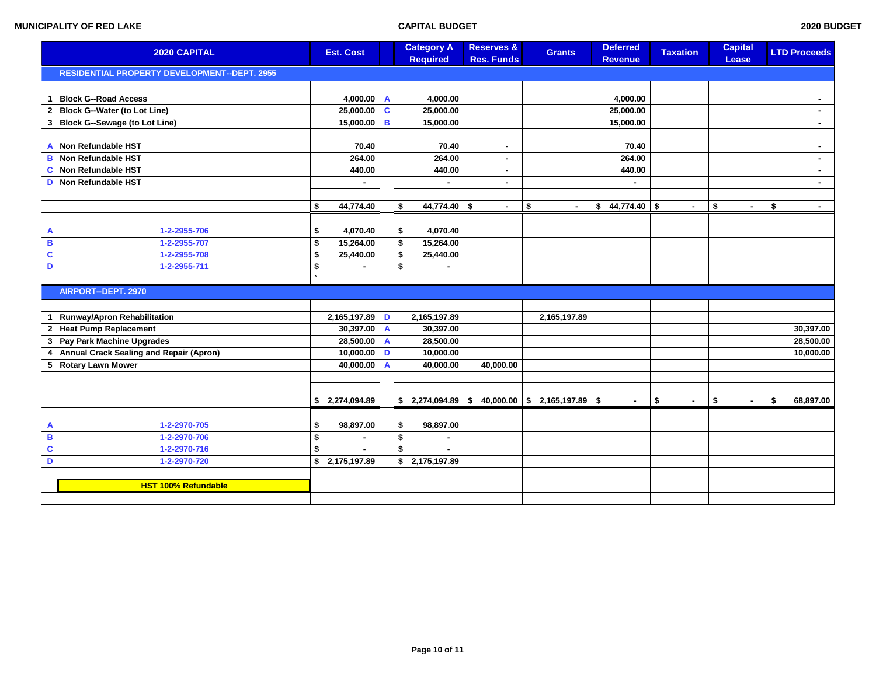|                | 2020 CAPITAL                                 |    | <b>Est. Cost</b> |   | <b>Category A</b><br><b>Required</b> |                 | <b>Reserves &amp;</b><br><b>Res. Funds</b> | <b>Grants</b>                  | <b>Deferred</b><br><b>Revenue</b> | <b>Taxation</b>    | <b>Capital</b><br>Lease | <b>LTD Proceeds</b> |
|----------------|----------------------------------------------|----|------------------|---|--------------------------------------|-----------------|--------------------------------------------|--------------------------------|-----------------------------------|--------------------|-------------------------|---------------------|
|                | RESIDENTIAL PROPERTY DEVELOPMENT--DEPT. 2955 |    |                  |   |                                      |                 |                                            |                                |                                   |                    |                         |                     |
|                |                                              |    |                  |   |                                      |                 |                                            |                                |                                   |                    |                         |                     |
| -1             | <b>Block G--Road Access</b>                  |    | 4,000.00         | A |                                      | 4,000.00        |                                            |                                | 4,000.00                          |                    |                         | ٠                   |
|                | 2 Block G--Water (to Lot Line)               |    | 25,000.00        | C |                                      | 25,000.00       |                                            |                                | 25,000.00                         |                    |                         | $\blacksquare$      |
| 3              | Block G--Sewage (to Lot Line)                |    | 15,000.00        | B |                                      | 15,000.00       |                                            |                                | 15,000.00                         |                    |                         |                     |
|                |                                              |    |                  |   |                                      |                 |                                            |                                |                                   |                    |                         |                     |
| A              | Non Refundable HST                           |    | 70.40            |   |                                      | 70.40           | $\mathbf{r}$                               |                                | 70.40                             |                    |                         | ٠                   |
| B              | Non Refundable HST                           |    | 264.00           |   |                                      | 264.00          | $\sim$                                     |                                | 264.00                            |                    |                         | $\blacksquare$      |
| C              | Non Refundable HST                           |    | 440.00           |   |                                      | 440.00          | ٠.                                         |                                | 440.00                            |                    |                         | ۰.                  |
| D              | Non Refundable HST                           |    |                  |   |                                      |                 | ٠.                                         |                                | ٠                                 |                    |                         | $\sim$              |
|                |                                              |    |                  |   |                                      |                 |                                            |                                |                                   |                    |                         |                     |
|                |                                              | \$ | 44,774.40        |   | \$                                   | 44,774.40 \$    | $\blacksquare$                             | \$<br>$\blacksquare$           | $$44,774.40$ \\$                  | $\blacksquare$     | \$<br>$\blacksquare$    | \$<br>$\sim$        |
|                |                                              |    |                  |   |                                      |                 |                                            |                                |                                   |                    |                         |                     |
| A              | 1-2-2955-706                                 | \$ | 4,070.40         |   | \$                                   | 4,070.40        |                                            |                                |                                   |                    |                         |                     |
| B              | 1-2-2955-707                                 | \$ | 15,264.00        |   | \$                                   | 15,264.00       |                                            |                                |                                   |                    |                         |                     |
| $\mathbf c$    | 1-2-2955-708                                 | \$ | 25,440.00        |   | \$                                   | 25,440.00       |                                            |                                |                                   |                    |                         |                     |
| $\mathbf D$    | 1-2-2955-711                                 | \$ | $\blacksquare$   |   | \$                                   | ٠               |                                            |                                |                                   |                    |                         |                     |
|                |                                              |    |                  |   |                                      |                 |                                            |                                |                                   |                    |                         |                     |
|                | AIRPORT--DEPT. 2970                          |    |                  |   |                                      |                 |                                            |                                |                                   |                    |                         |                     |
|                |                                              |    |                  |   |                                      |                 |                                            |                                |                                   |                    |                         |                     |
|                | Runway/Apron Rehabilitation                  |    | 2,165,197.89     | D |                                      | 2,165,197.89    |                                            | 2,165,197.89                   |                                   |                    |                         |                     |
| $\overline{2}$ | <b>Heat Pump Replacement</b>                 |    | 30,397.00        | A |                                      | 30,397.00       |                                            |                                |                                   |                    |                         | 30,397.00           |
| 3              | Pay Park Machine Upgrades                    |    | 28,500.00        | A |                                      | 28,500.00       |                                            |                                |                                   |                    |                         | 28,500.00           |
| $\overline{4}$ | Annual Crack Sealing and Repair (Apron)      |    | 10,000.00        | D |                                      | 10,000.00       |                                            |                                |                                   |                    |                         | 10,000.00           |
| 5              | <b>Rotary Lawn Mower</b>                     |    | 40,000.00        |   |                                      | 40,000.00       | 40,000.00                                  |                                |                                   |                    |                         |                     |
|                |                                              |    |                  |   |                                      |                 |                                            |                                |                                   |                    |                         |                     |
|                |                                              |    |                  |   |                                      |                 |                                            |                                |                                   |                    |                         |                     |
|                |                                              |    | \$ 2,274,094.89  |   | \$                                   | 2,274,094.89 \$ |                                            | $40,000.00$ \$ 2,165,197.89 \$ | ÷.                                | \$<br>$\mathbf{r}$ | \$<br>$\sim$            | \$<br>68,897.00     |
|                |                                              |    |                  |   |                                      |                 |                                            |                                |                                   |                    |                         |                     |
| A              | 1-2-2970-705                                 | \$ | 98,897.00        |   | \$                                   | 98,897.00       |                                            |                                |                                   |                    |                         |                     |
| B              | 1-2-2970-706                                 | \$ |                  |   | \$                                   | $\sim$          |                                            |                                |                                   |                    |                         |                     |
| C              | 1-2-2970-716                                 | \$ | $\blacksquare$   |   | \$                                   | $\blacksquare$  |                                            |                                |                                   |                    |                         |                     |
| D              | 1-2-2970-720                                 |    | \$ 2,175,197.89  |   | \$2,175,197.89                       |                 |                                            |                                |                                   |                    |                         |                     |
|                |                                              |    |                  |   |                                      |                 |                                            |                                |                                   |                    |                         |                     |
|                | <b>HST 100% Refundable</b>                   |    |                  |   |                                      |                 |                                            |                                |                                   |                    |                         |                     |
|                |                                              |    |                  |   |                                      |                 |                                            |                                |                                   |                    |                         |                     |